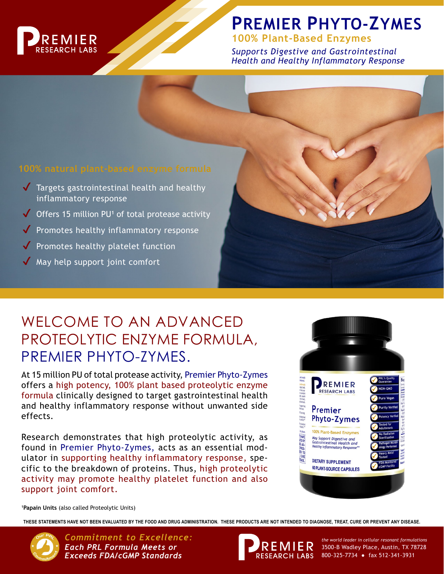

# **PREMIER PHYTO-ZYMES**

**100% Plant-Based Enzymes**

*Supports Digestive and Gastrointestinal Health and Healthy Inflammatory Response*

- $\sqrt{\phantom{a}}$  Targets gastrointestinal health and healthy inflammatory response
- ◆ Offers 15 million PU<sup>1</sup> of total protease activity
- ◆ Promotes healthy inflammatory response
- $\sqrt{\ }$  Promotes healthy platelet function
- $\sqrt{ }$  May help support joint comfort

## WELCOME TO AN ADVANCED PROTEOLYTIC ENZYME FORMULA, PREMIER PHYTO-ZYMES.

At 15 million PU of total protease activity, Premier Phyto-Zymes offers a high potency, 100% plant based proteolytic enzyme formula clinically designed to target gastrointestinal health and healthy inflammatory response without unwanted side effects.

Research demonstrates that high proteolytic activity, as found in Premier Phyto-Zymes, acts as an essential modulator in supporting healthy inflammatory response, specific to the breakdown of proteins. Thus, high proteolytic activity may promote healthy platelet function and also support joint comfort.



**1Papain Units** (also called Proteolytic Units)

**THESE STATEMENTS HAVE NOT BEEN EVALUATED BY THE FOOD AND DRUG ADMINISTRATION. THESE PRODUCTS ARE NOT INTENDED TO DIAGNOSE, TREAT, CURE OR PREVENT ANY DISEASE.**

*Commitment to Excellence: the world leader in cellular resonant formulations Each PRL Formula Meets or Exceeds FDA/cGMP Standards*



3500-B Wadley Place, Austin, TX 78728 RESEARCH LABS 800-325-7734 · fax 512-341-3931